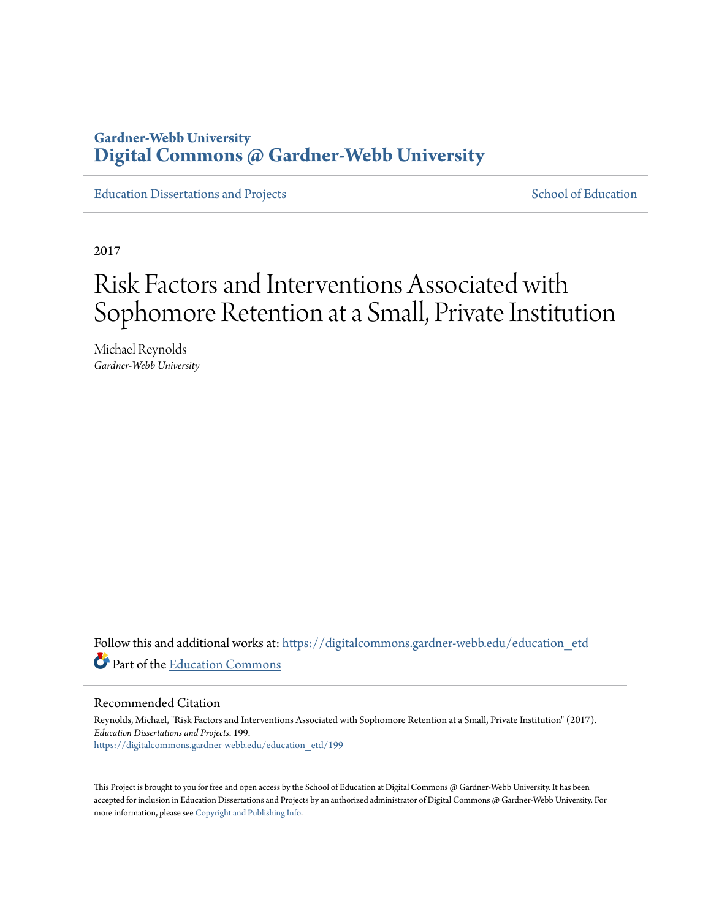### **Gardner-Webb University [Digital Commons @ Gardner-Webb University](https://digitalcommons.gardner-webb.edu?utm_source=digitalcommons.gardner-webb.edu%2Feducation_etd%2F199&utm_medium=PDF&utm_campaign=PDFCoverPages)**

[Education Dissertations and Projects](https://digitalcommons.gardner-webb.edu/education_etd?utm_source=digitalcommons.gardner-webb.edu%2Feducation_etd%2F199&utm_medium=PDF&utm_campaign=PDFCoverPages) [School of Education](https://digitalcommons.gardner-webb.edu/education?utm_source=digitalcommons.gardner-webb.edu%2Feducation_etd%2F199&utm_medium=PDF&utm_campaign=PDFCoverPages)

2017

# Risk Factors and Interventions Associated with Sophomore Retention at a Small, Private Institution

Michael Reynolds *Gardner-Webb University*

Follow this and additional works at: [https://digitalcommons.gardner-webb.edu/education\\_etd](https://digitalcommons.gardner-webb.edu/education_etd?utm_source=digitalcommons.gardner-webb.edu%2Feducation_etd%2F199&utm_medium=PDF&utm_campaign=PDFCoverPages) Part of the [Education Commons](http://network.bepress.com/hgg/discipline/784?utm_source=digitalcommons.gardner-webb.edu%2Feducation_etd%2F199&utm_medium=PDF&utm_campaign=PDFCoverPages)

#### Recommended Citation

Reynolds, Michael, "Risk Factors and Interventions Associated with Sophomore Retention at a Small, Private Institution" (2017). *Education Dissertations and Projects*. 199. [https://digitalcommons.gardner-webb.edu/education\\_etd/199](https://digitalcommons.gardner-webb.edu/education_etd/199?utm_source=digitalcommons.gardner-webb.edu%2Feducation_etd%2F199&utm_medium=PDF&utm_campaign=PDFCoverPages)

This Project is brought to you for free and open access by the School of Education at Digital Commons @ Gardner-Webb University. It has been accepted for inclusion in Education Dissertations and Projects by an authorized administrator of Digital Commons @ Gardner-Webb University. For more information, please see [Copyright and Publishing Info](https://digitalcommons.gardner-webb.edu/copyright_publishing.html).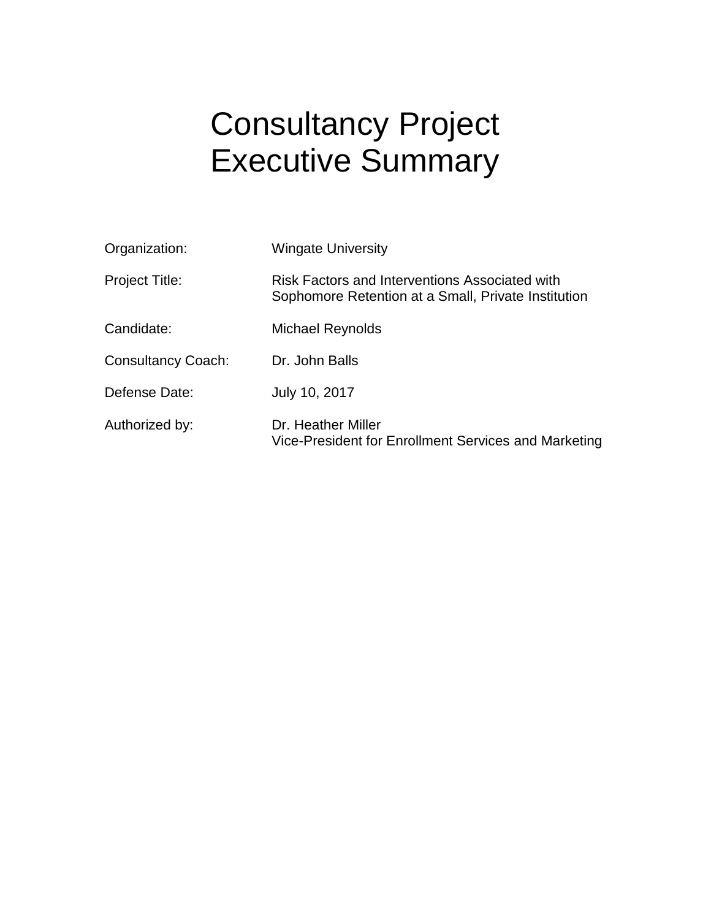# Consultancy Project Executive Summary

| Organization:             | <b>Wingate University</b>                                                                             |
|---------------------------|-------------------------------------------------------------------------------------------------------|
| Project Title:            | Risk Factors and Interventions Associated with<br>Sophomore Retention at a Small, Private Institution |
| Candidate:                | Michael Reynolds                                                                                      |
| <b>Consultancy Coach:</b> | Dr. John Balls                                                                                        |
| Defense Date:             | July 10, 2017                                                                                         |
| Authorized by:            | Dr. Heather Miller<br>Vice-President for Enrollment Services and Marketing                            |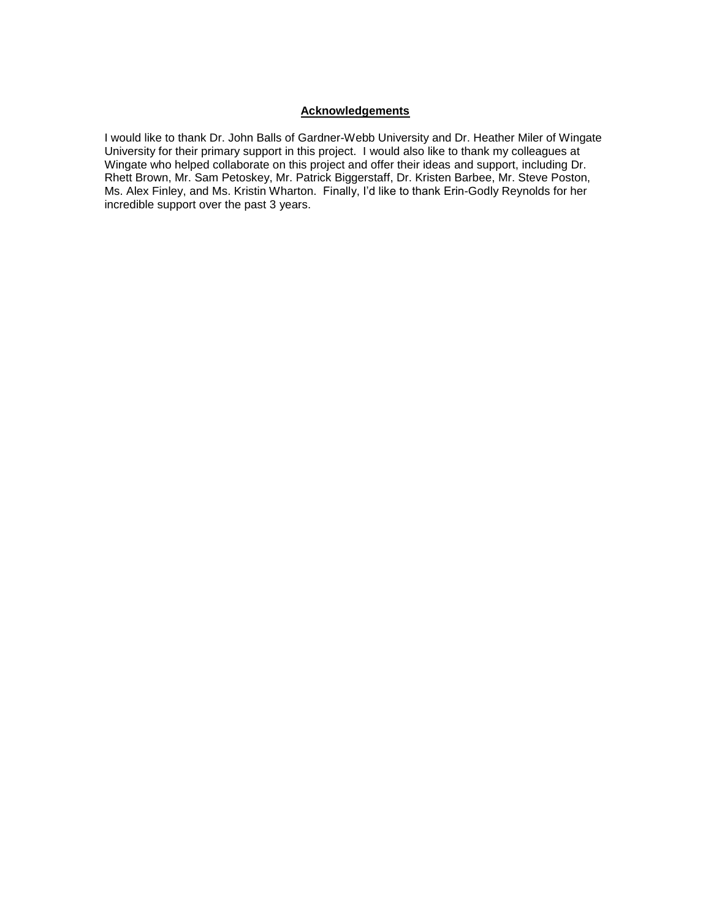#### **Acknowledgements**

I would like to thank Dr. John Balls of Gardner-Webb University and Dr. Heather Miler of Wingate University for their primary support in this project. I would also like to thank my colleagues at Wingate who helped collaborate on this project and offer their ideas and support, including Dr. Rhett Brown, Mr. Sam Petoskey, Mr. Patrick Biggerstaff, Dr. Kristen Barbee, Mr. Steve Poston, Ms. Alex Finley, and Ms. Kristin Wharton. Finally, I'd like to thank Erin-Godly Reynolds for her incredible support over the past 3 years.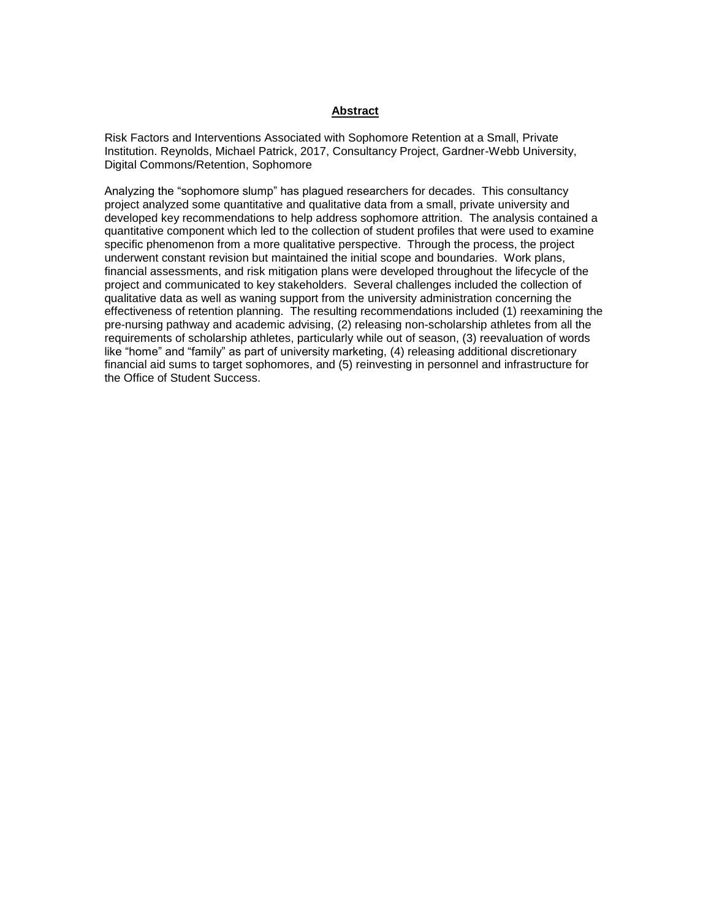#### **Abstract**

Risk Factors and Interventions Associated with Sophomore Retention at a Small, Private Institution. Reynolds, Michael Patrick, 2017, Consultancy Project, Gardner-Webb University, Digital Commons/Retention, Sophomore

Analyzing the "sophomore slump" has plagued researchers for decades. This consultancy project analyzed some quantitative and qualitative data from a small, private university and developed key recommendations to help address sophomore attrition. The analysis contained a quantitative component which led to the collection of student profiles that were used to examine specific phenomenon from a more qualitative perspective. Through the process, the project underwent constant revision but maintained the initial scope and boundaries. Work plans, financial assessments, and risk mitigation plans were developed throughout the lifecycle of the project and communicated to key stakeholders. Several challenges included the collection of qualitative data as well as waning support from the university administration concerning the effectiveness of retention planning. The resulting recommendations included (1) reexamining the pre-nursing pathway and academic advising, (2) releasing non-scholarship athletes from all the requirements of scholarship athletes, particularly while out of season, (3) reevaluation of words like "home" and "family" as part of university marketing, (4) releasing additional discretionary financial aid sums to target sophomores, and (5) reinvesting in personnel and infrastructure for the Office of Student Success.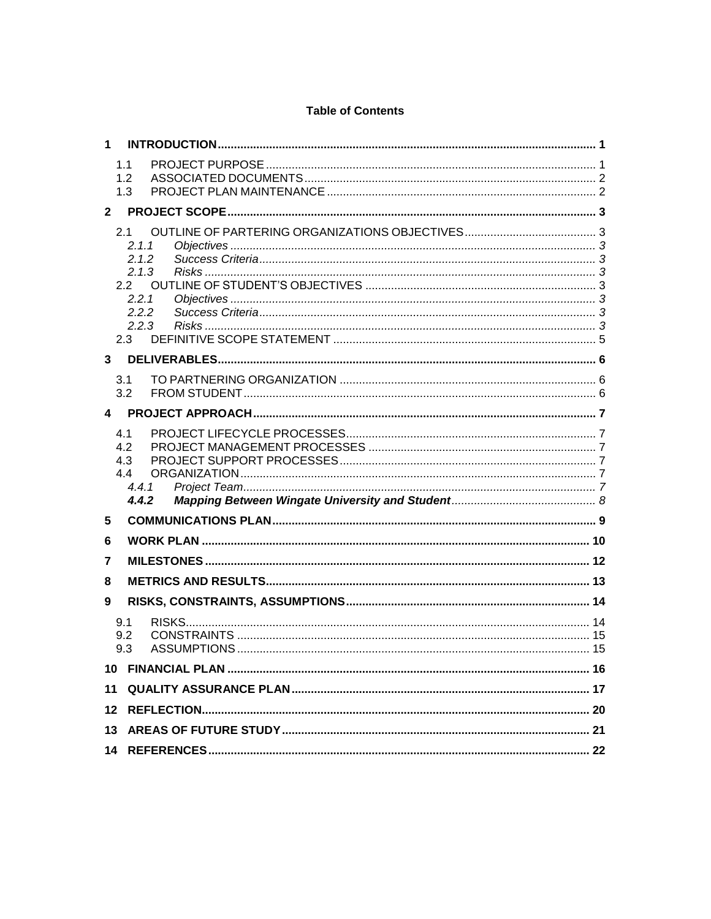#### **Table of Contents**

| 1.1<br>1.2<br>1.3<br>$\mathbf{2}$<br>2.1<br>2.1.1<br>2.1.2<br>2.1.3<br>2.2<br>2.2.1<br>2.2.2<br>2.2.3<br>2.3<br>3<br>3.1<br>3.2<br>4<br>4.1<br>4.2<br>4.3<br>4.4<br>4.4.1<br>4.4.2<br>5<br>6<br>7<br>8<br>9<br>9.1<br>9.2<br>9.3<br>11<br>12 | $\mathbf 1$ |  |  |  |  |  |  |
|----------------------------------------------------------------------------------------------------------------------------------------------------------------------------------------------------------------------------------------------|-------------|--|--|--|--|--|--|
|                                                                                                                                                                                                                                              |             |  |  |  |  |  |  |
|                                                                                                                                                                                                                                              |             |  |  |  |  |  |  |
|                                                                                                                                                                                                                                              |             |  |  |  |  |  |  |
|                                                                                                                                                                                                                                              |             |  |  |  |  |  |  |
|                                                                                                                                                                                                                                              |             |  |  |  |  |  |  |
|                                                                                                                                                                                                                                              |             |  |  |  |  |  |  |
|                                                                                                                                                                                                                                              |             |  |  |  |  |  |  |
|                                                                                                                                                                                                                                              |             |  |  |  |  |  |  |
|                                                                                                                                                                                                                                              |             |  |  |  |  |  |  |
|                                                                                                                                                                                                                                              |             |  |  |  |  |  |  |
|                                                                                                                                                                                                                                              |             |  |  |  |  |  |  |
|                                                                                                                                                                                                                                              |             |  |  |  |  |  |  |
|                                                                                                                                                                                                                                              |             |  |  |  |  |  |  |
|                                                                                                                                                                                                                                              |             |  |  |  |  |  |  |
|                                                                                                                                                                                                                                              |             |  |  |  |  |  |  |
|                                                                                                                                                                                                                                              |             |  |  |  |  |  |  |
|                                                                                                                                                                                                                                              |             |  |  |  |  |  |  |
|                                                                                                                                                                                                                                              |             |  |  |  |  |  |  |
|                                                                                                                                                                                                                                              |             |  |  |  |  |  |  |
|                                                                                                                                                                                                                                              |             |  |  |  |  |  |  |
|                                                                                                                                                                                                                                              |             |  |  |  |  |  |  |
|                                                                                                                                                                                                                                              |             |  |  |  |  |  |  |
|                                                                                                                                                                                                                                              |             |  |  |  |  |  |  |
|                                                                                                                                                                                                                                              |             |  |  |  |  |  |  |
|                                                                                                                                                                                                                                              |             |  |  |  |  |  |  |
|                                                                                                                                                                                                                                              |             |  |  |  |  |  |  |
|                                                                                                                                                                                                                                              |             |  |  |  |  |  |  |
|                                                                                                                                                                                                                                              |             |  |  |  |  |  |  |
|                                                                                                                                                                                                                                              |             |  |  |  |  |  |  |
|                                                                                                                                                                                                                                              |             |  |  |  |  |  |  |
|                                                                                                                                                                                                                                              |             |  |  |  |  |  |  |
|                                                                                                                                                                                                                                              |             |  |  |  |  |  |  |
|                                                                                                                                                                                                                                              |             |  |  |  |  |  |  |
|                                                                                                                                                                                                                                              |             |  |  |  |  |  |  |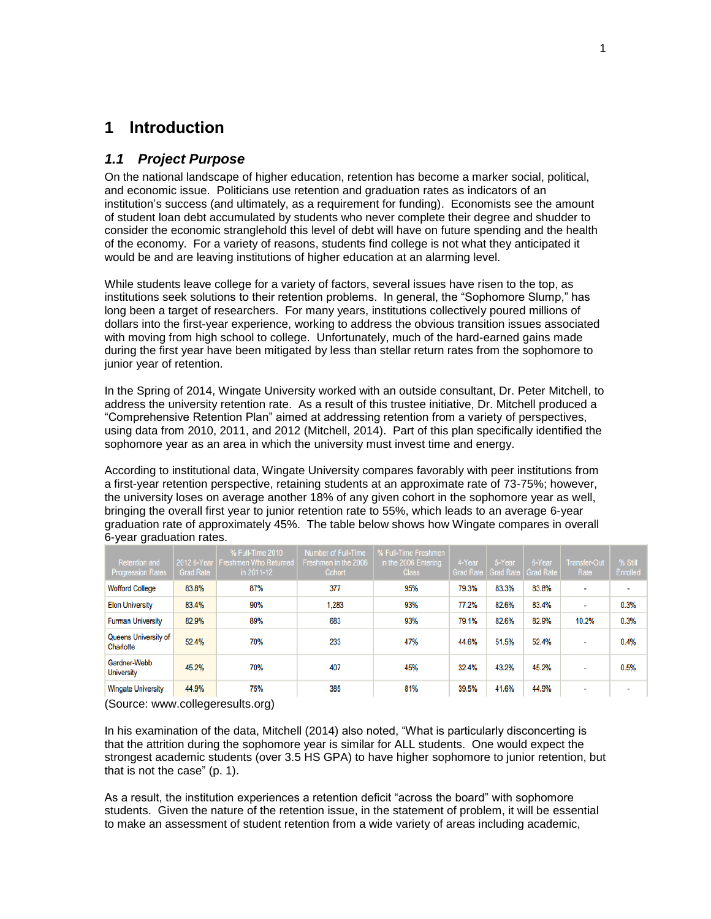#### <span id="page-5-0"></span>**1 Introduction**

#### <span id="page-5-1"></span>*1.1 Project Purpose*

On the national landscape of higher education, retention has become a marker social, political, and economic issue. Politicians use retention and graduation rates as indicators of an institution's success (and ultimately, as a requirement for funding). Economists see the amount of student loan debt accumulated by students who never complete their degree and shudder to consider the economic stranglehold this level of debt will have on future spending and the health of the economy. For a variety of reasons, students find college is not what they anticipated it would be and are leaving institutions of higher education at an alarming level.

While students leave college for a variety of factors, several issues have risen to the top, as institutions seek solutions to their retention problems. In general, the "Sophomore Slump," has long been a target of researchers. For many years, institutions collectively poured millions of dollars into the first-year experience, working to address the obvious transition issues associated with moving from high school to college. Unfortunately, much of the hard-earned gains made during the first year have been mitigated by less than stellar return rates from the sophomore to junior year of retention.

In the Spring of 2014, Wingate University worked with an outside consultant, Dr. Peter Mitchell, to address the university retention rate. As a result of this trustee initiative, Dr. Mitchell produced a "Comprehensive Retention Plan" aimed at addressing retention from a variety of perspectives, using data from 2010, 2011, and 2012 (Mitchell, 2014). Part of this plan specifically identified the sophomore year as an area in which the university must invest time and energy.

According to institutional data, Wingate University compares favorably with peer institutions from a first-year retention perspective, retaining students at an approximate rate of 73-75%; however, the university loses on average another 18% of any given cohort in the sophomore year as well, bringing the overall first year to junior retention rate to 55%, which leads to an average 6-year graduation rate of approximately 45%. The table below shows how Wingate compares in overall 6-year graduation rates.

| <b>Retention and</b><br><b>Progression Rates</b> | 2012 6-Year<br><b>Grad Rate</b> | % Full-Time 2010<br><b>Freshmen Who Returned</b><br>in 2011-12 | Number of Full-Time<br>Freshmen in the 2006<br>Cohort | % Full-Time Freshmen<br>in the 2006 Entering<br><b>Class</b> | 4-Year | 5-Year<br>Grad Rate   Grad Rate | 6-Year<br><b>Grad Rate</b> | Transfer-Out<br>Rate | % Still<br>Enrolled |
|--------------------------------------------------|---------------------------------|----------------------------------------------------------------|-------------------------------------------------------|--------------------------------------------------------------|--------|---------------------------------|----------------------------|----------------------|---------------------|
| <b>Wofford College</b>                           | 83.8%                           | 87%                                                            | 377                                                   | 95%                                                          | 79.3%  | 83.3%                           | 83.8%                      | $\sim$               | $\blacksquare$      |
| <b>Elon University</b>                           | 83.4%                           | 90%                                                            | 1.283                                                 | 93%                                                          | 77.2%  | 82.6%                           | 83.4%                      | $\blacksquare$       | 0.3%                |
| <b>Furman University</b>                         | 82.9%                           | 89%                                                            | 683                                                   | 93%                                                          | 79.1%  | 82.6%                           | 82.9%                      | 10.2%                | 0.3%                |
| Queens University of<br>Charlotte                | 52.4%                           | 70%                                                            | 233                                                   | 47%                                                          | 44.6%  | 51.5%                           | 52.4%                      | $\sim$               | 0.4%                |
| Gardner-Webb<br><b>University</b>                | 45.2%                           | 70%                                                            | 407                                                   | 45%                                                          | 32.4%  | 43.2%                           | 45.2%                      | $\sim$               | 0.5%                |
| <b>Wingate University</b>                        | 44.9%                           | 75%                                                            | 385                                                   | 81%                                                          | 39.5%  | 41.6%                           | 44.9%                      | $\sim$               | $\sim$              |

(Source: www.collegeresults.org)

In his examination of the data, Mitchell (2014) also noted, "What is particularly disconcerting is that the attrition during the sophomore year is similar for ALL students. One would expect the strongest academic students (over 3.5 HS GPA) to have higher sophomore to junior retention, but that is not the case" (p. 1).

As a result, the institution experiences a retention deficit "across the board" with sophomore students. Given the nature of the retention issue, in the statement of problem, it will be essential to make an assessment of student retention from a wide variety of areas including academic,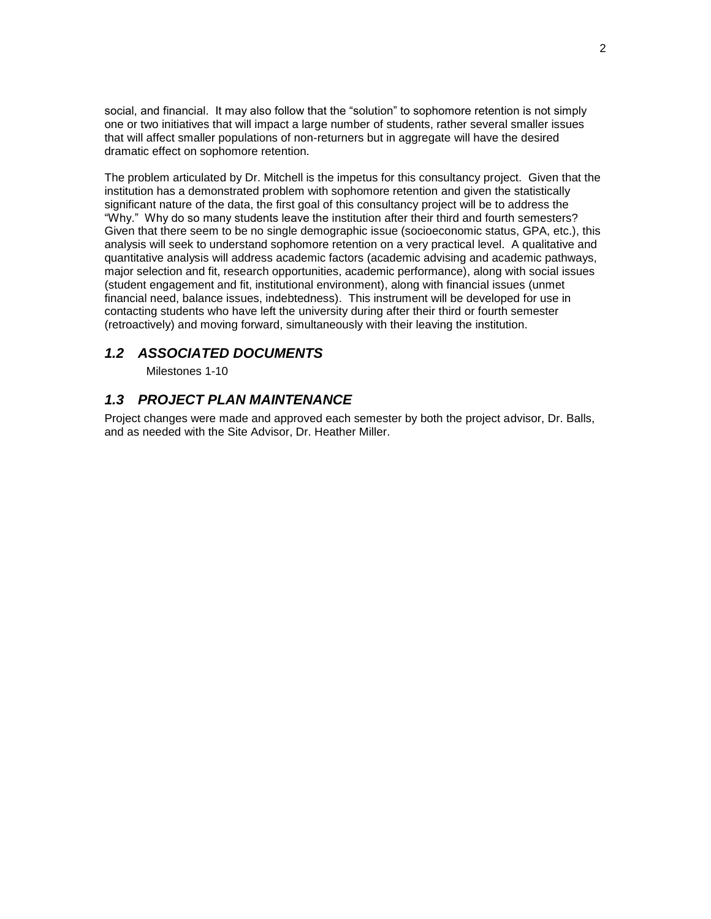social, and financial. It may also follow that the "solution" to sophomore retention is not simply one or two initiatives that will impact a large number of students, rather several smaller issues that will affect smaller populations of non-returners but in aggregate will have the desired dramatic effect on sophomore retention.

The problem articulated by Dr. Mitchell is the impetus for this consultancy project. Given that the institution has a demonstrated problem with sophomore retention and given the statistically significant nature of the data, the first goal of this consultancy project will be to address the "Why." Why do so many students leave the institution after their third and fourth semesters? Given that there seem to be no single demographic issue (socioeconomic status, GPA, etc.), this analysis will seek to understand sophomore retention on a very practical level. A qualitative and quantitative analysis will address academic factors (academic advising and academic pathways, major selection and fit, research opportunities, academic performance), along with social issues (student engagement and fit, institutional environment), along with financial issues (unmet financial need, balance issues, indebtedness). This instrument will be developed for use in contacting students who have left the university during after their third or fourth semester (retroactively) and moving forward, simultaneously with their leaving the institution.

#### <span id="page-6-0"></span>*1.2 ASSOCIATED DOCUMENTS*

Milestones 1-10

#### <span id="page-6-1"></span>*1.3 PROJECT PLAN MAINTENANCE*

Project changes were made and approved each semester by both the project advisor, Dr. Balls, and as needed with the Site Advisor, Dr. Heather Miller.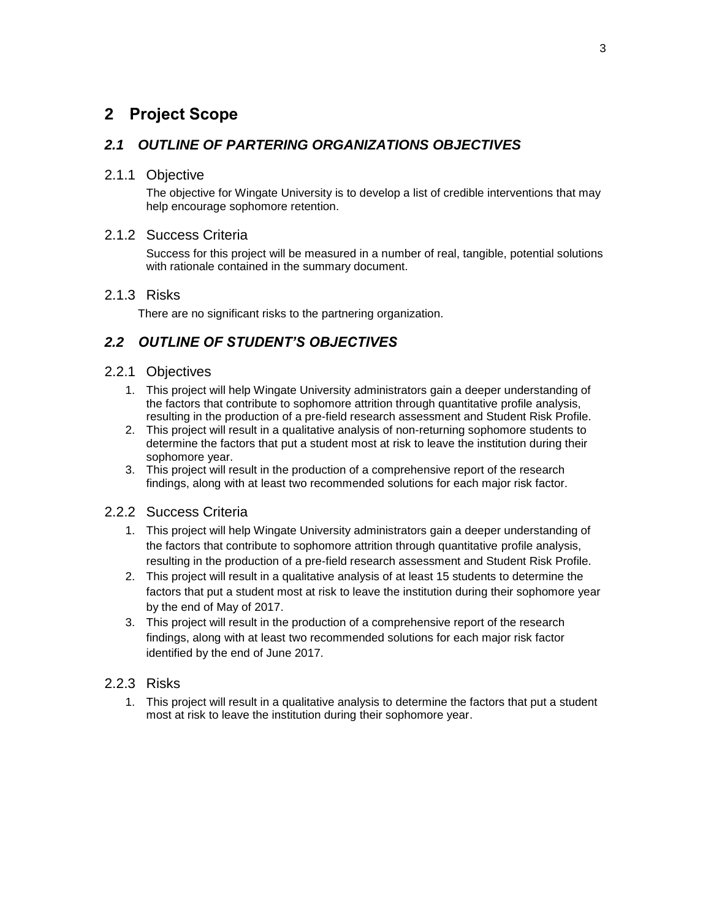### <span id="page-7-0"></span>**2 Project Scope**

#### <span id="page-7-1"></span>*2.1 OUTLINE OF PARTERING ORGANIZATIONS OBJECTIVES*

#### <span id="page-7-2"></span>2.1.1 Objective

The objective for Wingate University is to develop a list of credible interventions that may help encourage sophomore retention.

#### <span id="page-7-3"></span>2.1.2 Success Criteria

Success for this project will be measured in a number of real, tangible, potential solutions with rationale contained in the summary document.

#### <span id="page-7-4"></span>2.1.3 Risks

There are no significant risks to the partnering organization.

#### <span id="page-7-5"></span>*2.2 OUTLINE OF STUDENT'S OBJECTIVES*

#### <span id="page-7-6"></span>2.2.1 Objectives

- 1. This project will help Wingate University administrators gain a deeper understanding of the factors that contribute to sophomore attrition through quantitative profile analysis, resulting in the production of a pre-field research assessment and Student Risk Profile.
- 2. This project will result in a qualitative analysis of non-returning sophomore students to determine the factors that put a student most at risk to leave the institution during their sophomore year.
- 3. This project will result in the production of a comprehensive report of the research findings, along with at least two recommended solutions for each major risk factor.

#### <span id="page-7-7"></span>2.2.2 Success Criteria

- 1. This project will help Wingate University administrators gain a deeper understanding of the factors that contribute to sophomore attrition through quantitative profile analysis, resulting in the production of a pre-field research assessment and Student Risk Profile.
- 2. This project will result in a qualitative analysis of at least 15 students to determine the factors that put a student most at risk to leave the institution during their sophomore year by the end of May of 2017.
- 3. This project will result in the production of a comprehensive report of the research findings, along with at least two recommended solutions for each major risk factor identified by the end of June 2017.

#### <span id="page-7-8"></span>2.2.3 Risks

1. This project will result in a qualitative analysis to determine the factors that put a student most at risk to leave the institution during their sophomore year.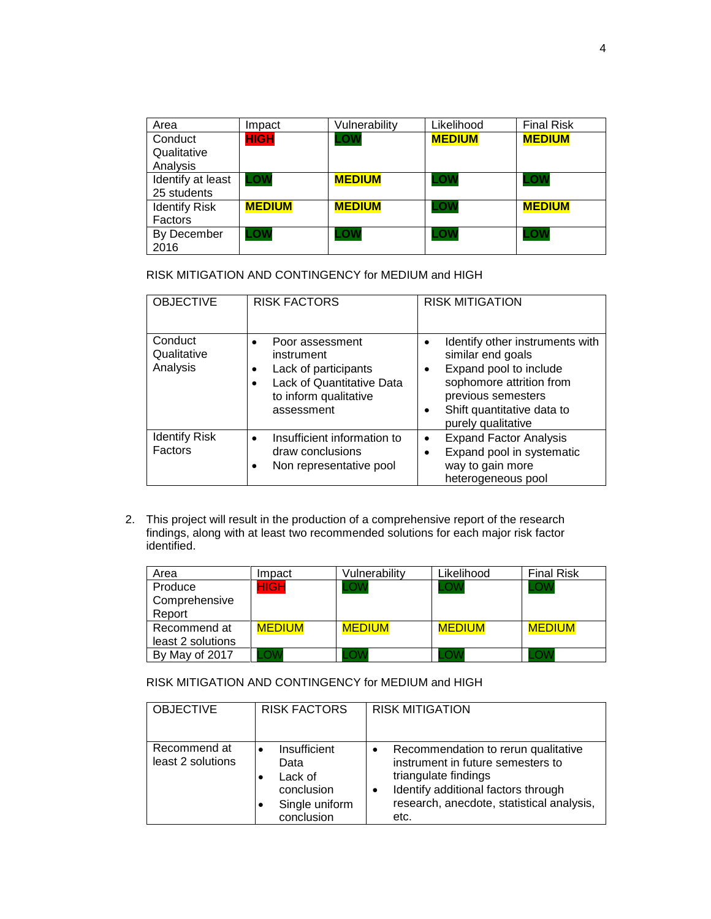| Area                 | Impact        | Vulnerability | Likelihood    | <b>Final Risk</b> |
|----------------------|---------------|---------------|---------------|-------------------|
| Conduct              | <b>HIGH</b>   | LOW.          | <b>MEDIUM</b> | <b>MEDIUM</b>     |
| Qualitative          |               |               |               |                   |
| Analysis             |               |               |               |                   |
| Identify at least    | LOW           | <b>MEDIUM</b> | LOW           | LOW               |
| 25 students          |               |               |               |                   |
| <b>Identify Risk</b> | <b>MEDIUM</b> | <b>MEDIUM</b> | ∟ow           | <b>MEDIUM</b>     |
| Factors              |               |               |               |                   |
| By December          | .ow           | -OW           | ∟ow           | .OW               |
| 2016                 |               |               |               |                   |

RISK MITIGATION AND CONTINGENCY for MEDIUM and HIGH

| <b>OBJECTIVE</b>                   | <b>RISK FACTORS</b>                                                                                                                                 | <b>RISK MITIGATION</b>                                                                                                                                                                                         |
|------------------------------------|-----------------------------------------------------------------------------------------------------------------------------------------------------|----------------------------------------------------------------------------------------------------------------------------------------------------------------------------------------------------------------|
| Conduct<br>Qualitative<br>Analysis | Poor assessment<br>$\bullet$<br>instrument<br>Lack of participants<br>$\bullet$<br>Lack of Quantitative Data<br>to inform qualitative<br>assessment | Identify other instruments with<br>similar end goals<br>Expand pool to include<br>$\bullet$<br>sophomore attrition from<br>previous semesters<br>Shift quantitative data to<br>$\bullet$<br>purely qualitative |
| <b>Identify Risk</b><br>Factors    | Insufficient information to<br>$\bullet$<br>draw conclusions<br>Non representative pool<br>٠                                                        | <b>Expand Factor Analysis</b><br>$\bullet$<br>Expand pool in systematic<br>$\bullet$<br>way to gain more<br>heterogeneous pool                                                                                 |

2. This project will result in the production of a comprehensive report of the research findings, along with at least two recommended solutions for each major risk factor identified.

| Area              | Impact        | Vulnerability | Likelihood    | <b>Final Risk</b> |
|-------------------|---------------|---------------|---------------|-------------------|
| Produce           | HIGH          |               | .OV           |                   |
| Comprehensive     |               |               |               |                   |
| Report            |               |               |               |                   |
| Recommend at      | <b>MEDIUM</b> | <b>MEDIUM</b> | <b>MEDIUM</b> | <b>MEDIUM</b>     |
| least 2 solutions |               |               |               |                   |
| By May of 2017    |               |               |               |                   |

RISK MITIGATION AND CONTINGENCY for MEDIUM and HIGH

| <b>OBJECTIVE</b>                  | <b>RISK FACTORS</b>                                                                        | <b>RISK MITIGATION</b>                                                                                                                                                                            |
|-----------------------------------|--------------------------------------------------------------------------------------------|---------------------------------------------------------------------------------------------------------------------------------------------------------------------------------------------------|
| Recommend at<br>least 2 solutions | Insufficient<br>$\bullet$<br>Data<br>Lack of<br>conclusion<br>Single uniform<br>conclusion | Recommendation to rerun qualitative<br>instrument in future semesters to<br>triangulate findings<br>Identify additional factors through<br>٠<br>research, anecdote, statistical analysis,<br>etc. |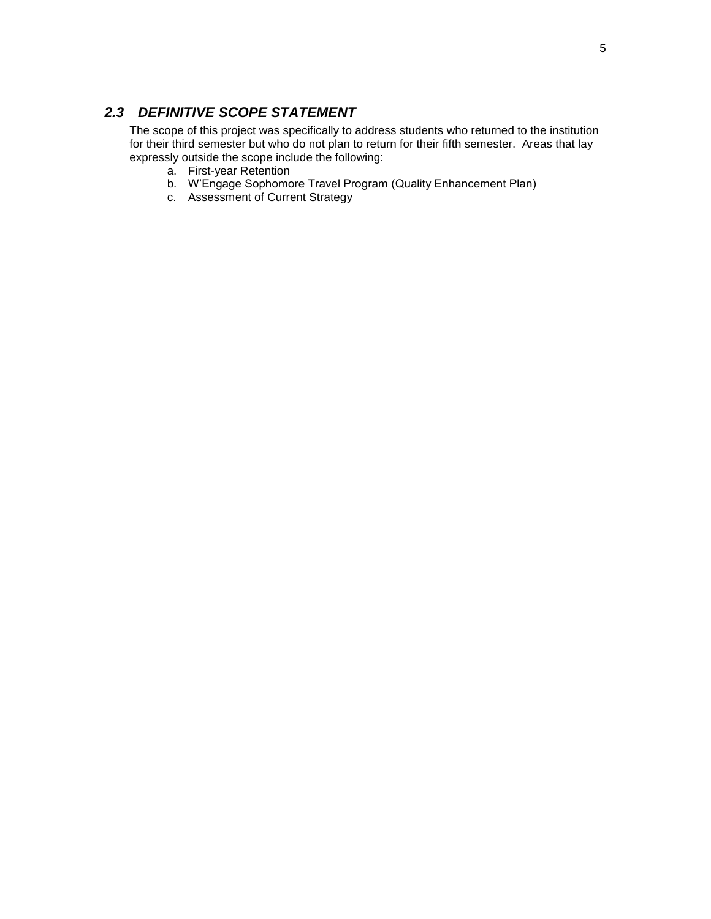#### <span id="page-9-0"></span>*2.3 DEFINITIVE SCOPE STATEMENT*

The scope of this project was specifically to address students who returned to the institution for their third semester but who do not plan to return for their fifth semester. Areas that lay expressly outside the scope include the following:

- a. First-year Retention
- b. W'Engage Sophomore Travel Program (Quality Enhancement Plan)
- c. Assessment of Current Strategy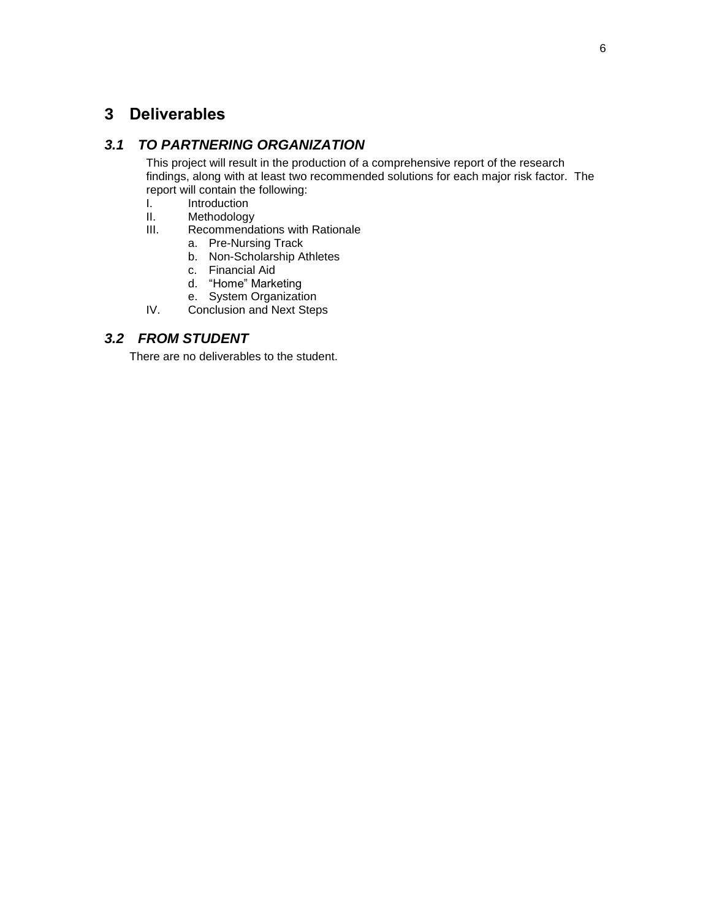### <span id="page-10-0"></span>**3 Deliverables**

#### <span id="page-10-1"></span>*3.1 TO PARTNERING ORGANIZATION*

This project will result in the production of a comprehensive report of the research findings, along with at least two recommended solutions for each major risk factor. The report will contain the following:

- I. Introduction<br>II. Methodology
- Methodology
- III. Recommendations with Rationale
	- a. Pre-Nursing Track
	- b. Non-Scholarship Athletes
	- c. Financial Aid
	- d. "Home" Marketing
	- e. System Organization
- IV. Conclusion and Next Steps

#### <span id="page-10-2"></span>*3.2 FROM STUDENT*

There are no deliverables to the student.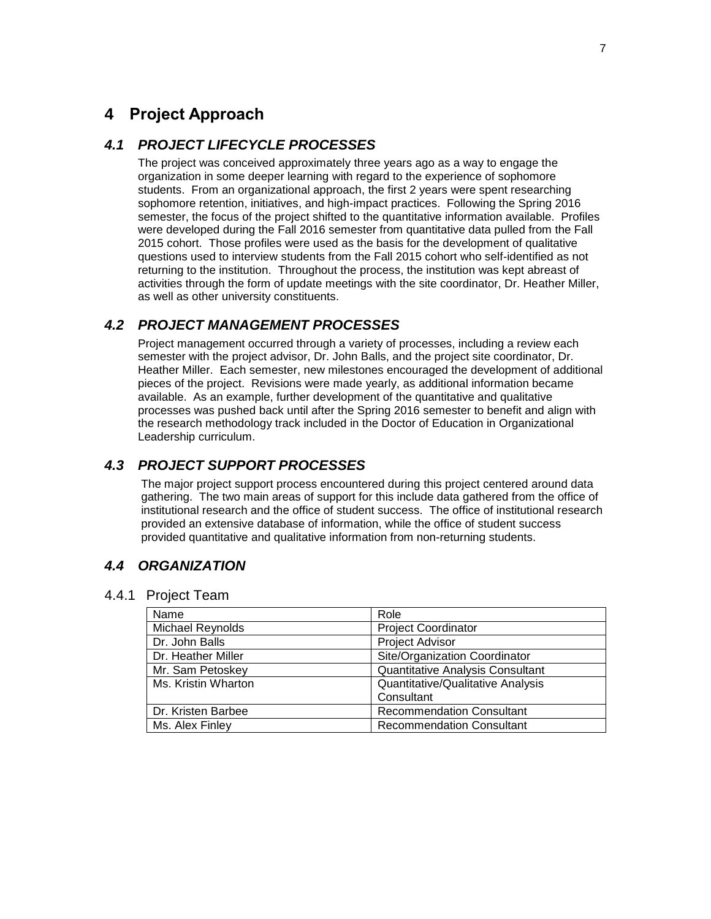### <span id="page-11-0"></span>**4 Project Approach**

#### <span id="page-11-1"></span>*4.1 PROJECT LIFECYCLE PROCESSES*

The project was conceived approximately three years ago as a way to engage the organization in some deeper learning with regard to the experience of sophomore students. From an organizational approach, the first 2 years were spent researching sophomore retention, initiatives, and high-impact practices. Following the Spring 2016 semester, the focus of the project shifted to the quantitative information available. Profiles were developed during the Fall 2016 semester from quantitative data pulled from the Fall 2015 cohort. Those profiles were used as the basis for the development of qualitative questions used to interview students from the Fall 2015 cohort who self-identified as not returning to the institution. Throughout the process, the institution was kept abreast of activities through the form of update meetings with the site coordinator, Dr. Heather Miller, as well as other university constituents.

#### <span id="page-11-2"></span>*4.2 PROJECT MANAGEMENT PROCESSES*

Project management occurred through a variety of processes, including a review each semester with the project advisor, Dr. John Balls, and the project site coordinator, Dr. Heather Miller. Each semester, new milestones encouraged the development of additional pieces of the project. Revisions were made yearly, as additional information became available. As an example, further development of the quantitative and qualitative processes was pushed back until after the Spring 2016 semester to benefit and align with the research methodology track included in the Doctor of Education in Organizational Leadership curriculum.

#### <span id="page-11-3"></span>*4.3 PROJECT SUPPORT PROCESSES*

The major project support process encountered during this project centered around data gathering. The two main areas of support for this include data gathered from the office of institutional research and the office of student success. The office of institutional research provided an extensive database of information, while the office of student success provided quantitative and qualitative information from non-returning students.

#### <span id="page-11-4"></span>*4.4 ORGANIZATION*

#### <span id="page-11-5"></span>4.4.1 Project Team

| Name                | Role                                    |
|---------------------|-----------------------------------------|
| Michael Reynolds    | <b>Project Coordinator</b>              |
| Dr. John Balls      | Project Advisor                         |
| Dr. Heather Miller  | Site/Organization Coordinator           |
| Mr. Sam Petoskey    | <b>Quantitative Analysis Consultant</b> |
| Ms. Kristin Wharton | Quantitative/Qualitative Analysis       |
|                     | Consultant                              |
| Dr. Kristen Barbee  | <b>Recommendation Consultant</b>        |
| Ms. Alex Finley     | <b>Recommendation Consultant</b>        |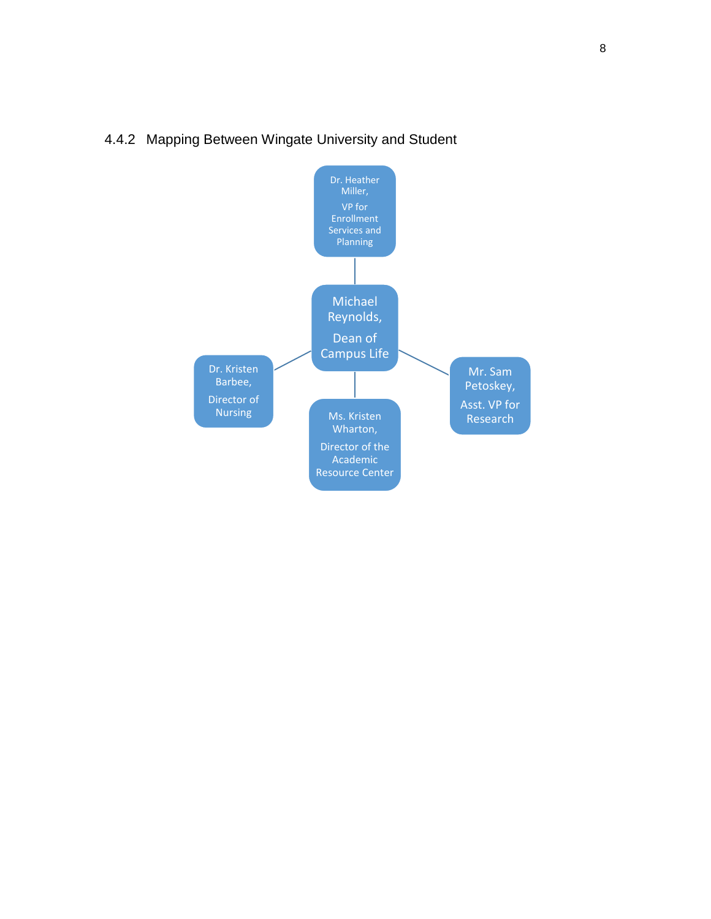

#### <span id="page-12-0"></span>4.4.2 Mapping Between Wingate University and Student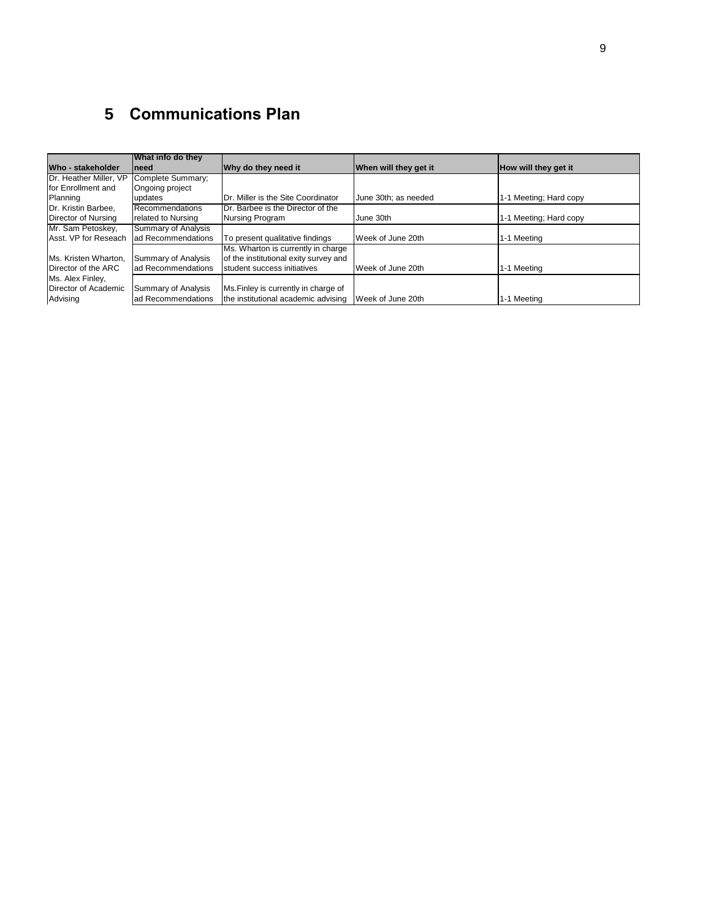# <span id="page-13-0"></span>**5 Communications Plan**

|                        | What info do they   |                                       |                       |                        |
|------------------------|---------------------|---------------------------------------|-----------------------|------------------------|
| Who - stakeholder      | <b>Ineed</b>        | Why do they need it                   | When will they get it | How will they get it   |
| Dr. Heather Miller, VP | Complete Summary;   |                                       |                       |                        |
| for Enrollment and     | Ongoing project     |                                       |                       |                        |
| Planning               | updates             | Dr. Miller is the Site Coordinator    | June 30th; as needed  | 1-1 Meeting; Hard copy |
| Dr. Kristin Barbee.    | Recommendations     | Dr. Barbee is the Director of the     |                       |                        |
| Director of Nursing    | related to Nursing  | Nursing Program                       | June 30th             | 1-1 Meeting; Hard copy |
| Mr. Sam Petoskey,      | Summary of Analysis |                                       |                       |                        |
| Asst. VP for Reseach   | ad Recommendations  | To present qualitative findings       | Week of June 20th     | 1-1 Meeting            |
|                        |                     | Ms. Wharton is currently in charge    |                       |                        |
| Ms. Kristen Wharton.   | Summary of Analysis | of the institutional exity survey and |                       |                        |
| Director of the ARC    | ad Recommendations  | student success initiatives           | Week of June 20th     | 1-1 Meeting            |
| Ms. Alex Finley,       |                     |                                       |                       |                        |
| Director of Academic   | Summary of Analysis | Ms. Finley is currently in charge of  |                       |                        |
| Advising               | ad Recommendations  | the institutional academic advising   | Week of June 20th     | 1-1 Meeting            |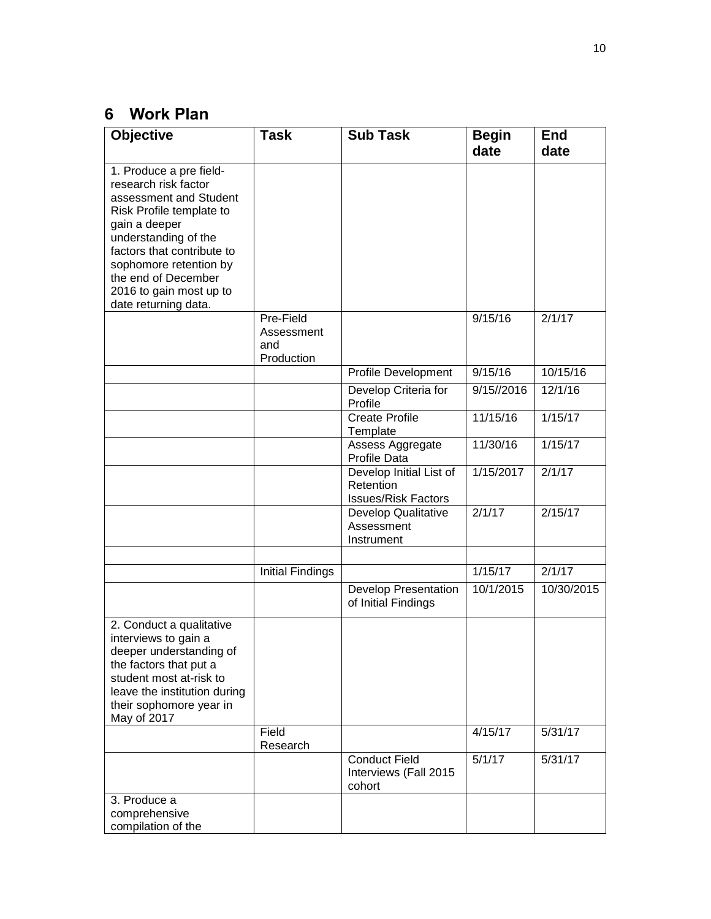# <span id="page-14-0"></span>**6 Work Plan**

| <b>Objective</b>                                                                                                                                                                                                                                                                 | <b>Task</b>                                  | <b>Sub Task</b>                                                    | <b>Begin</b><br>date | <b>End</b><br>date |
|----------------------------------------------------------------------------------------------------------------------------------------------------------------------------------------------------------------------------------------------------------------------------------|----------------------------------------------|--------------------------------------------------------------------|----------------------|--------------------|
| 1. Produce a pre field-<br>research risk factor<br>assessment and Student<br>Risk Profile template to<br>gain a deeper<br>understanding of the<br>factors that contribute to<br>sophomore retention by<br>the end of December<br>2016 to gain most up to<br>date returning data. |                                              |                                                                    |                      |                    |
|                                                                                                                                                                                                                                                                                  | Pre-Field<br>Assessment<br>and<br>Production |                                                                    | 9/15/16              | 2/1/17             |
|                                                                                                                                                                                                                                                                                  |                                              | Profile Development                                                | 9/15/16              | 10/15/16           |
|                                                                                                                                                                                                                                                                                  |                                              | Develop Criteria for<br>Profile                                    | 9/15//2016           | 12/1/16            |
|                                                                                                                                                                                                                                                                                  |                                              | <b>Create Profile</b><br>Template                                  | 11/15/16             | 1/15/17            |
|                                                                                                                                                                                                                                                                                  |                                              | Assess Aggregate<br><b>Profile Data</b>                            | 11/30/16             | 1/15/17            |
|                                                                                                                                                                                                                                                                                  |                                              | Develop Initial List of<br>Retention<br><b>Issues/Risk Factors</b> | 1/15/2017            | 2/1/17             |
|                                                                                                                                                                                                                                                                                  |                                              | Develop Qualitative<br>Assessment<br>Instrument                    | 2/1/17               | 2/15/17            |
|                                                                                                                                                                                                                                                                                  |                                              |                                                                    |                      |                    |
|                                                                                                                                                                                                                                                                                  | <b>Initial Findings</b>                      |                                                                    | 1/15/17              | 2/1/17             |
|                                                                                                                                                                                                                                                                                  |                                              | <b>Develop Presentation</b><br>of Initial Findings                 | 10/1/2015            | 10/30/2015         |
| 2. Conduct a qualitative<br>interviews to gain a<br>deeper understanding of<br>the factors that put a<br>student most at-risk to<br>leave the institution during<br>their sophomore year in<br>May of 2017                                                                       |                                              |                                                                    |                      |                    |
|                                                                                                                                                                                                                                                                                  | Field<br>Research                            |                                                                    | 4/15/17              | 5/31/17            |
|                                                                                                                                                                                                                                                                                  |                                              | <b>Conduct Field</b><br>Interviews (Fall 2015<br>cohort            | 5/1/17               | 5/31/17            |
| 3. Produce a<br>comprehensive<br>compilation of the                                                                                                                                                                                                                              |                                              |                                                                    |                      |                    |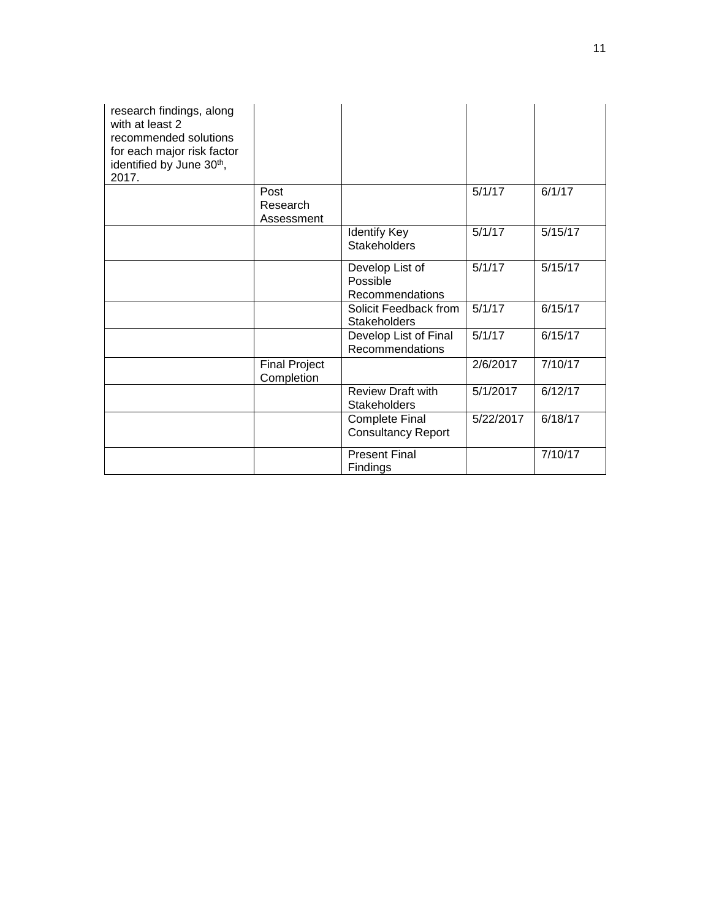| research findings, along<br>with at least 2<br>recommended solutions<br>for each major risk factor<br>identified by June 30th,<br>2017. |                                    |                                                    |           |         |
|-----------------------------------------------------------------------------------------------------------------------------------------|------------------------------------|----------------------------------------------------|-----------|---------|
|                                                                                                                                         | Post<br>Research<br>Assessment     |                                                    | 5/1/17    | 6/1/17  |
|                                                                                                                                         |                                    | <b>Identify Key</b><br><b>Stakeholders</b>         | 5/1/17    | 5/15/17 |
|                                                                                                                                         |                                    | Develop List of<br>Possible<br>Recommendations     | 5/1/17    | 5/15/17 |
|                                                                                                                                         |                                    | Solicit Feedback from<br><b>Stakeholders</b>       | 5/1/17    | 6/15/17 |
|                                                                                                                                         |                                    | Develop List of Final<br>Recommendations           | 5/1/17    | 6/15/17 |
|                                                                                                                                         | <b>Final Project</b><br>Completion |                                                    | 2/6/2017  | 7/10/17 |
|                                                                                                                                         |                                    | <b>Review Draft with</b><br><b>Stakeholders</b>    | 5/1/2017  | 6/12/17 |
|                                                                                                                                         |                                    | <b>Complete Final</b><br><b>Consultancy Report</b> | 5/22/2017 | 6/18/17 |
|                                                                                                                                         |                                    | <b>Present Final</b><br>Findings                   |           | 7/10/17 |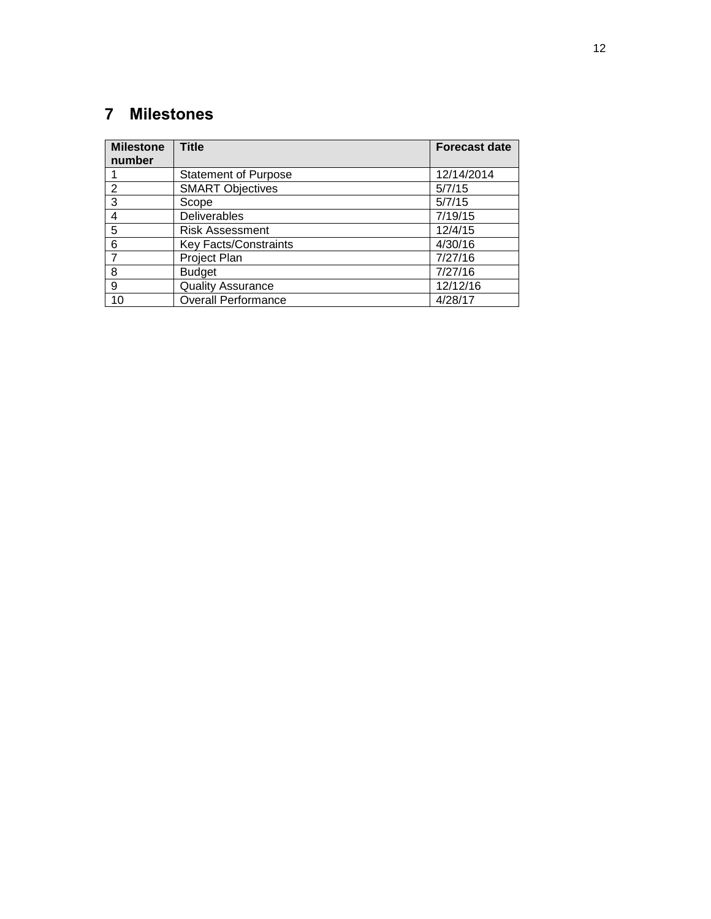# <span id="page-16-0"></span>**Milestones**

| <b>Milestone</b><br>number | <b>Title</b>                 | <b>Forecast date</b> |
|----------------------------|------------------------------|----------------------|
|                            | <b>Statement of Purpose</b>  | 12/14/2014           |
| 2                          | <b>SMART Objectives</b>      | 5/7/15               |
| 3                          | Scope                        | 5/7/15               |
| 4                          | <b>Deliverables</b>          | 7/19/15              |
| 5                          | <b>Risk Assessment</b>       | 12/4/15              |
| 6                          | <b>Key Facts/Constraints</b> | 4/30/16              |
|                            | Project Plan                 | 7/27/16              |
| 8                          | <b>Budget</b>                | 7/27/16              |
| 9                          | <b>Quality Assurance</b>     | 12/12/16             |
| 10                         | <b>Overall Performance</b>   | 4/28/17              |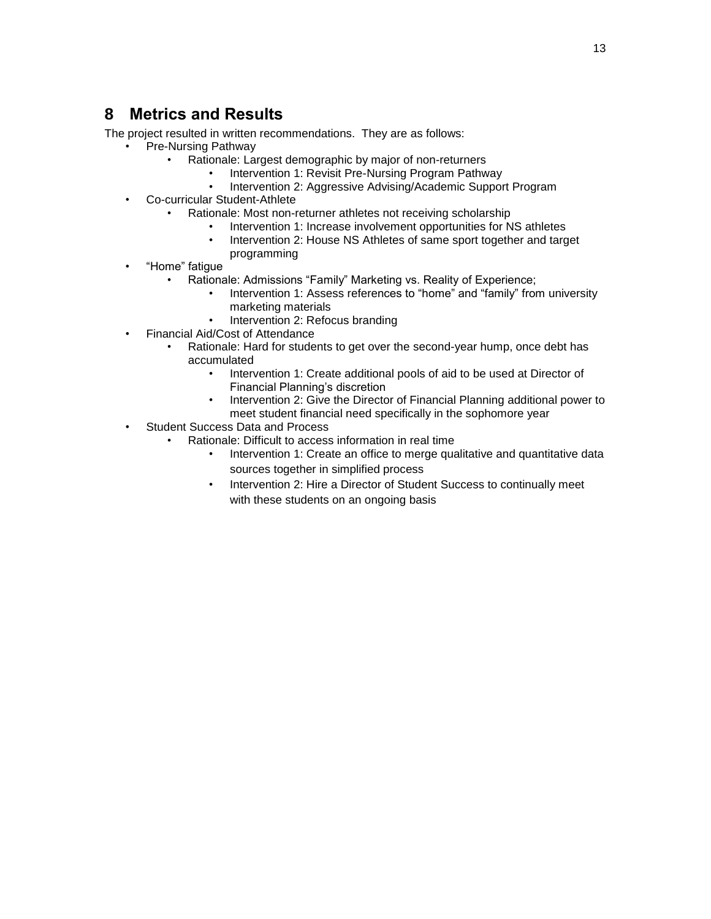### <span id="page-17-0"></span>**8 Metrics and Results**

The project resulted in written recommendations. They are as follows:

- Pre-Nursing Pathway
	- Rationale: Largest demographic by major of non-returners
		- Intervention 1: Revisit Pre-Nursing Program Pathway
		- Intervention 2: Aggressive Advising/Academic Support Program
- Co-curricular Student-Athlete
	- Rationale: Most non-returner athletes not receiving scholarship
		- Intervention 1: Increase involvement opportunities for NS athletes
		- Intervention 2: House NS Athletes of same sport together and target programming
- "Home" fatigue
	- Rationale: Admissions "Family" Marketing vs. Reality of Experience;
		- Intervention 1: Assess references to "home" and "family" from university marketing materials
		- Intervention 2: Refocus branding
- Financial Aid/Cost of Attendance
	- Rationale: Hard for students to get over the second-year hump, once debt has accumulated
		- Intervention 1: Create additional pools of aid to be used at Director of Financial Planning's discretion
		- Intervention 2: Give the Director of Financial Planning additional power to meet student financial need specifically in the sophomore year
- Student Success Data and Process
	- Rationale: Difficult to access information in real time
		- Intervention 1: Create an office to merge qualitative and quantitative data sources together in simplified process
		- Intervention 2: Hire a Director of Student Success to continually meet with these students on an ongoing basis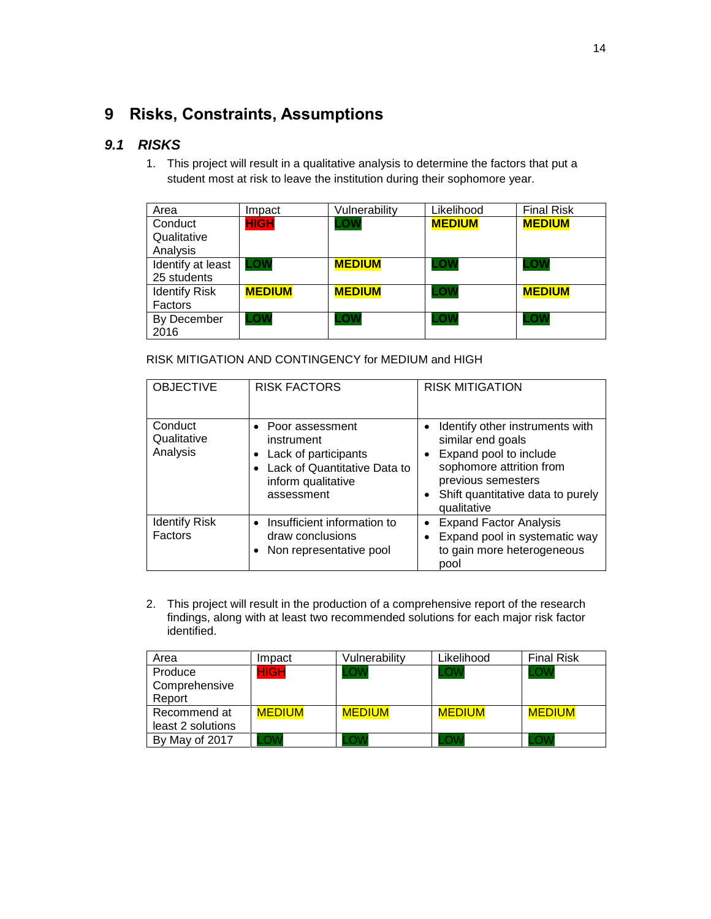# <span id="page-18-0"></span>**9 Risks, Constraints, Assumptions**

#### <span id="page-18-1"></span>*9.1 RISKS*

1. This project will result in a qualitative analysis to determine the factors that put a student most at risk to leave the institution during their sophomore year.

| Area                 | Impact        | Vulnerability | Likelihood    | <b>Final Risk</b> |
|----------------------|---------------|---------------|---------------|-------------------|
| Conduct              | <b>HIGH</b>   | LOW           | <b>MEDIUM</b> | <b>MEDIUM</b>     |
| Qualitative          |               |               |               |                   |
| Analysis             |               |               |               |                   |
| Identify at least    | .ow           | <b>MEDIUM</b> | .OW           | <b>ON</b>         |
| 25 students          |               |               |               |                   |
| <b>Identify Risk</b> | <b>MEDIUM</b> | <b>MEDIUM</b> | LOW           | <b>MEDIUM</b>     |
| Factors              |               |               |               |                   |
| By December          | .OW           | ∟ow           | ∟ow           | .OW               |
| 2016                 |               |               |               |                   |

RISK MITIGATION AND CONTINGENCY for MEDIUM and HIGH

| <b>OBJECTIVE</b>                   | <b>RISK FACTORS</b>                                                                                                         | <b>RISK MITIGATION</b>                                                                                                                                                               |  |  |
|------------------------------------|-----------------------------------------------------------------------------------------------------------------------------|--------------------------------------------------------------------------------------------------------------------------------------------------------------------------------------|--|--|
| Conduct<br>Qualitative<br>Analysis | • Poor assessment<br>instrument<br>Lack of participants<br>Lack of Quantitative Data to<br>inform qualitative<br>assessment | Identify other instruments with<br>similar end goals<br>Expand pool to include<br>sophomore attrition from<br>previous semesters<br>Shift quantitative data to purely<br>qualitative |  |  |
| <b>Identify Risk</b><br>Factors    | Insufficient information to<br>draw conclusions<br>Non representative pool                                                  | <b>Expand Factor Analysis</b><br>Expand pool in systematic way<br>to gain more heterogeneous<br>pool                                                                                 |  |  |

2. This project will result in the production of a comprehensive report of the research findings, along with at least two recommended solutions for each major risk factor identified.

| Area              | Impact        | Vulnerability | Likelihood    | <b>Final Risk</b> |
|-------------------|---------------|---------------|---------------|-------------------|
| Produce           | IGH           |               | .OW           |                   |
| Comprehensive     |               |               |               |                   |
| Report            |               |               |               |                   |
| Recommend at      | <b>MEDIUM</b> | <b>MEDIUM</b> | <b>MEDIUM</b> | <b>MEDIUM</b>     |
| least 2 solutions |               |               |               |                   |
| By May of 2017    |               |               |               |                   |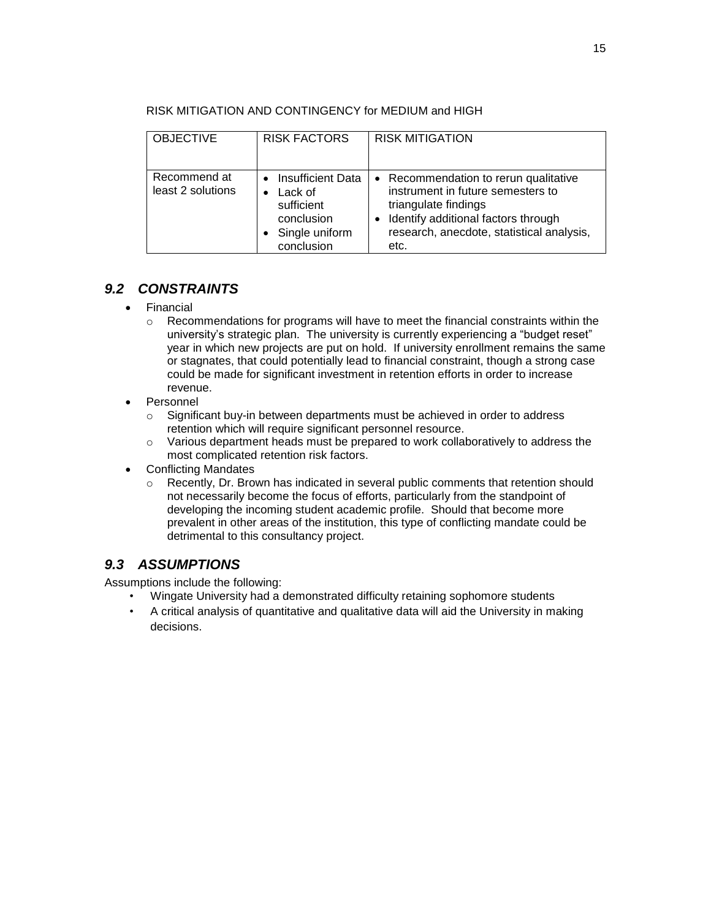| <b>OBJECTIVE</b>                  | <b>RISK FACTORS</b>                                                                                          | <b>RISK MITIGATION</b>                                                                                                                                                                         |
|-----------------------------------|--------------------------------------------------------------------------------------------------------------|------------------------------------------------------------------------------------------------------------------------------------------------------------------------------------------------|
| Recommend at<br>least 2 solutions | <b>Insufficient Data</b><br>$\bullet$<br>Lack of<br>sufficient<br>conclusion<br>Single uniform<br>conclusion | • Recommendation to rerun qualitative<br>instrument in future semesters to<br>triangulate findings<br>Identify additional factors through<br>research, anecdote, statistical analysis,<br>etc. |

#### RISK MITIGATION AND CONTINGENCY for MEDIUM and HIGH

#### <span id="page-19-0"></span>*9.2 CONSTRAINTS*

- Financial
	- o Recommendations for programs will have to meet the financial constraints within the university's strategic plan. The university is currently experiencing a "budget reset" year in which new projects are put on hold. If university enrollment remains the same or stagnates, that could potentially lead to financial constraint, though a strong case could be made for significant investment in retention efforts in order to increase revenue.
- Personnel
	- o Significant buy-in between departments must be achieved in order to address retention which will require significant personnel resource.
	- $\circ$  Various department heads must be prepared to work collaboratively to address the most complicated retention risk factors.
- Conflicting Mandates
	- o Recently, Dr. Brown has indicated in several public comments that retention should not necessarily become the focus of efforts, particularly from the standpoint of developing the incoming student academic profile. Should that become more prevalent in other areas of the institution, this type of conflicting mandate could be detrimental to this consultancy project.

#### <span id="page-19-1"></span>*9.3 ASSUMPTIONS*

Assumptions include the following:

- Wingate University had a demonstrated difficulty retaining sophomore students
- A critical analysis of quantitative and qualitative data will aid the University in making decisions.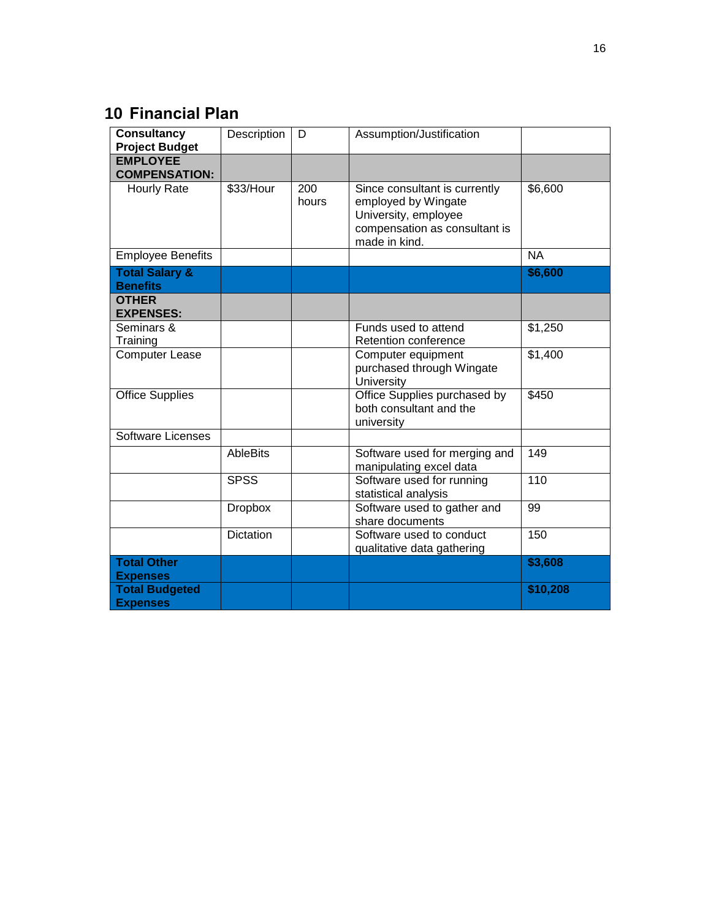# <span id="page-20-0"></span>**10 Financial Plan**

| <b>Consultancy</b><br><b>Project Budget</b>                 | Description     | D            | Assumption/Justification                                                                                                       |           |
|-------------------------------------------------------------|-----------------|--------------|--------------------------------------------------------------------------------------------------------------------------------|-----------|
| <b>EMPLOYEE</b><br><b>COMPENSATION:</b>                     |                 |              |                                                                                                                                |           |
| <b>Hourly Rate</b>                                          | \$33/Hour       | 200<br>hours | Since consultant is currently<br>employed by Wingate<br>University, employee<br>compensation as consultant is<br>made in kind. | \$6,600   |
| <b>Employee Benefits</b>                                    |                 |              |                                                                                                                                | <b>NA</b> |
| <b>Total Salary &amp;</b><br><b>Benefits</b>                |                 |              |                                                                                                                                | \$6,600   |
| <b>OTHER</b><br><b>EXPENSES:</b>                            |                 |              |                                                                                                                                |           |
| Seminars &<br>Training                                      |                 |              | Funds used to attend<br>Retention conference                                                                                   | \$1,250   |
| <b>Computer Lease</b>                                       |                 |              | Computer equipment<br>purchased through Wingate<br>University                                                                  | \$1,400   |
| <b>Office Supplies</b>                                      |                 |              | Office Supplies purchased by<br>both consultant and the<br>university                                                          | \$450     |
| <b>Software Licenses</b>                                    |                 |              |                                                                                                                                |           |
|                                                             | <b>AbleBits</b> |              | Software used for merging and<br>manipulating excel data                                                                       | 149       |
|                                                             | <b>SPSS</b>     |              | Software used for running<br>statistical analysis                                                                              | 110       |
|                                                             | <b>Dropbox</b>  |              | Software used to gather and<br>share documents                                                                                 | 99        |
|                                                             | Dictation       |              | Software used to conduct<br>qualitative data gathering                                                                         | 150       |
| <b>Total Other</b>                                          |                 |              |                                                                                                                                | \$3,608   |
| <b>Expenses</b><br><b>Total Budgeted</b><br><b>Expenses</b> |                 |              |                                                                                                                                | \$10,208  |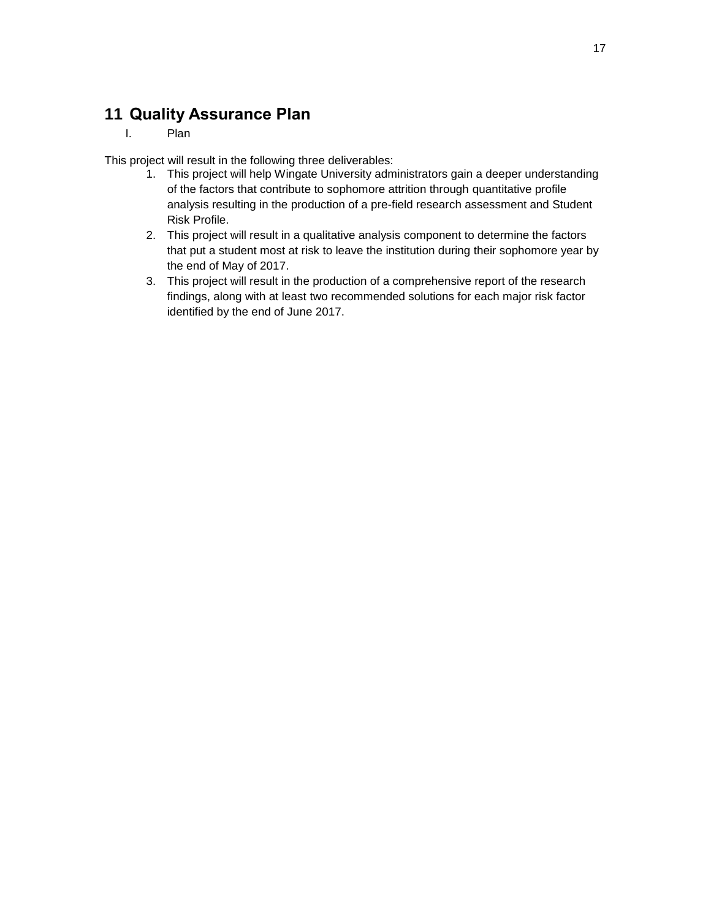# <span id="page-21-0"></span>**11 Quality Assurance Plan**

I. Plan

This project will result in the following three deliverables:

- 1. This project will help Wingate University administrators gain a deeper understanding of the factors that contribute to sophomore attrition through quantitative profile analysis resulting in the production of a pre-field research assessment and Student Risk Profile.
- 2. This project will result in a qualitative analysis component to determine the factors that put a student most at risk to leave the institution during their sophomore year by the end of May of 2017.
- 3. This project will result in the production of a comprehensive report of the research findings, along with at least two recommended solutions for each major risk factor identified by the end of June 2017.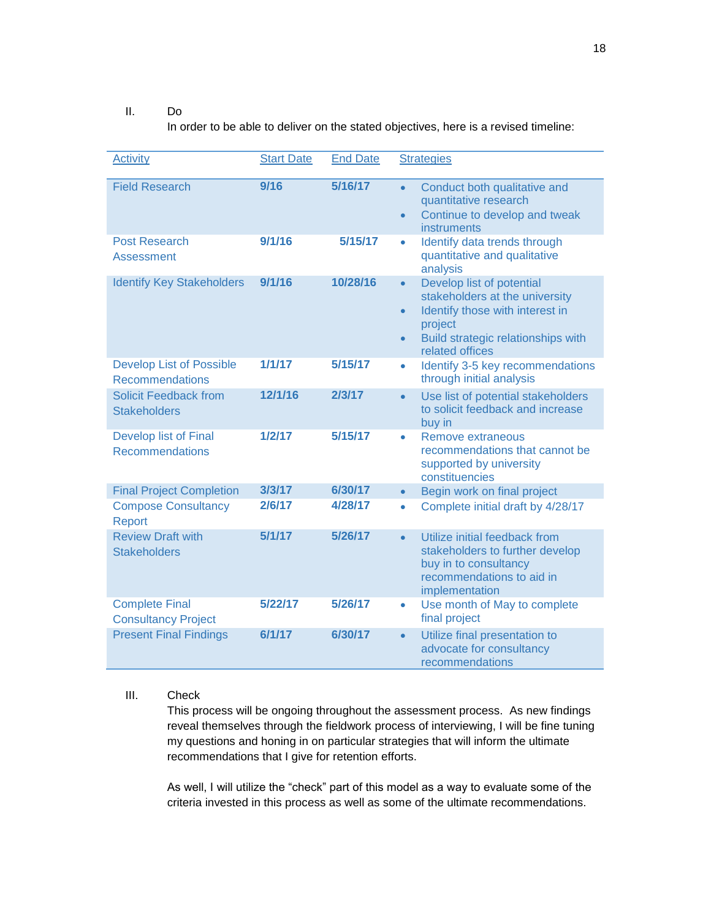#### II. Do

In order to be able to deliver on the stated objectives, here is a revised timeline:

| <b>Activity</b>                                           | <b>Start Date</b> | <b>End Date</b> | <b>Strategies</b>                                                                                                                                                                                         |
|-----------------------------------------------------------|-------------------|-----------------|-----------------------------------------------------------------------------------------------------------------------------------------------------------------------------------------------------------|
| <b>Field Research</b>                                     | 9/16              | 5/16/17         | Conduct both qualitative and<br>$\bullet$<br>quantitative research<br>Continue to develop and tweak<br>$\bullet$<br><b>instruments</b>                                                                    |
| <b>Post Research</b><br><b>Assessment</b>                 | 9/1/16            | 5/15/17         | Identify data trends through<br>$\bullet$<br>quantitative and qualitative<br>analysis                                                                                                                     |
| <b>Identify Key Stakeholders</b>                          | 9/1/16            | 10/28/16        | Develop list of potential<br>$\bullet$<br>stakeholders at the university<br>Identify those with interest in<br>$\bullet$<br>project<br>Build strategic relationships with<br>$\bullet$<br>related offices |
| <b>Develop List of Possible</b><br><b>Recommendations</b> | 1/1/17            | 5/15/17         | Identify 3-5 key recommendations<br>$\bullet$<br>through initial analysis                                                                                                                                 |
| <b>Solicit Feedback from</b><br><b>Stakeholders</b>       | 12/1/16           | 2/3/17          | Use list of potential stakeholders<br>$\bullet$<br>to solicit feedback and increase<br>buy in                                                                                                             |
| Develop list of Final<br><b>Recommendations</b>           | 1/2/17            | 5/15/17         | Remove extraneous<br>$\bullet$<br>recommendations that cannot be<br>supported by university<br>constituencies                                                                                             |
| <b>Final Project Completion</b>                           | 3/3/17            | 6/30/17         | Begin work on final project<br>$\bullet$                                                                                                                                                                  |
| <b>Compose Consultancy</b><br>Report                      | 2/6/17            | 4/28/17         | Complete initial draft by 4/28/17<br>$\bullet$                                                                                                                                                            |
| <b>Review Draft with</b><br><b>Stakeholders</b>           | 5/1/17            | 5/26/17         | Utilize initial feedback from<br>$\bullet$<br>stakeholders to further develop<br>buy in to consultancy<br>recommendations to aid in<br>implementation                                                     |
| <b>Complete Final</b><br><b>Consultancy Project</b>       | 5/22/17           | 5/26/17         | Use month of May to complete<br>$\bullet$<br>final project                                                                                                                                                |
| <b>Present Final Findings</b>                             | 6/1/17            | 6/30/17         | Utilize final presentation to<br>$\bullet$<br>advocate for consultancy<br>recommendations                                                                                                                 |

#### III. Check

This process will be ongoing throughout the assessment process. As new findings reveal themselves through the fieldwork process of interviewing, I will be fine tuning my questions and honing in on particular strategies that will inform the ultimate recommendations that I give for retention efforts.

As well, I will utilize the "check" part of this model as a way to evaluate some of the criteria invested in this process as well as some of the ultimate recommendations.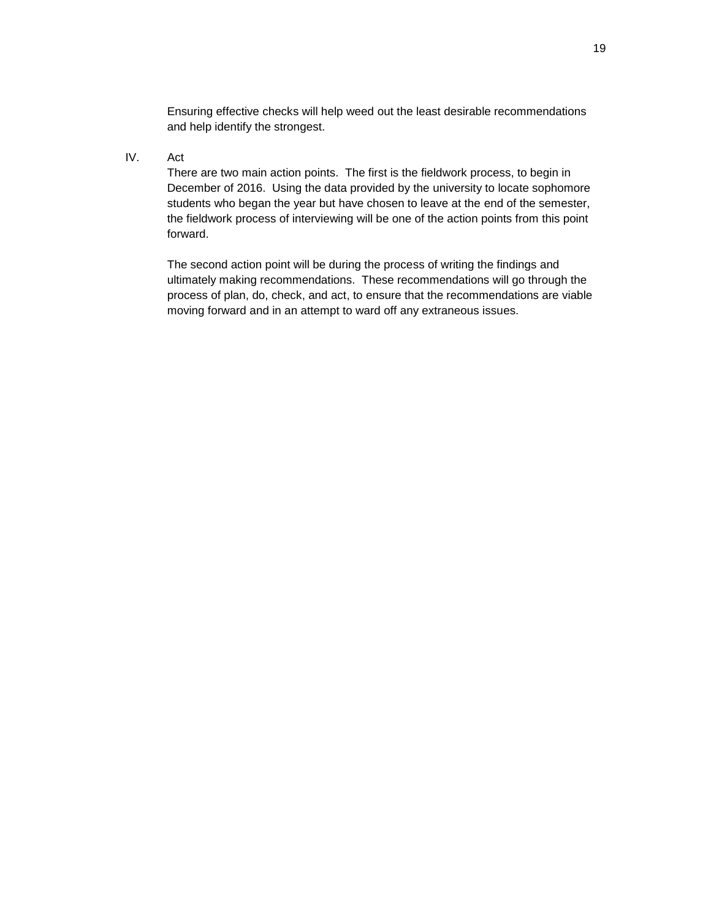Ensuring effective checks will help weed out the least desirable recommendations and help identify the strongest.

IV. Act

There are two main action points. The first is the fieldwork process, to begin in December of 2016. Using the data provided by the university to locate sophomore students who began the year but have chosen to leave at the end of the semester, the fieldwork process of interviewing will be one of the action points from this point forward.

The second action point will be during the process of writing the findings and ultimately making recommendations. These recommendations will go through the process of plan, do, check, and act, to ensure that the recommendations are viable moving forward and in an attempt to ward off any extraneous issues.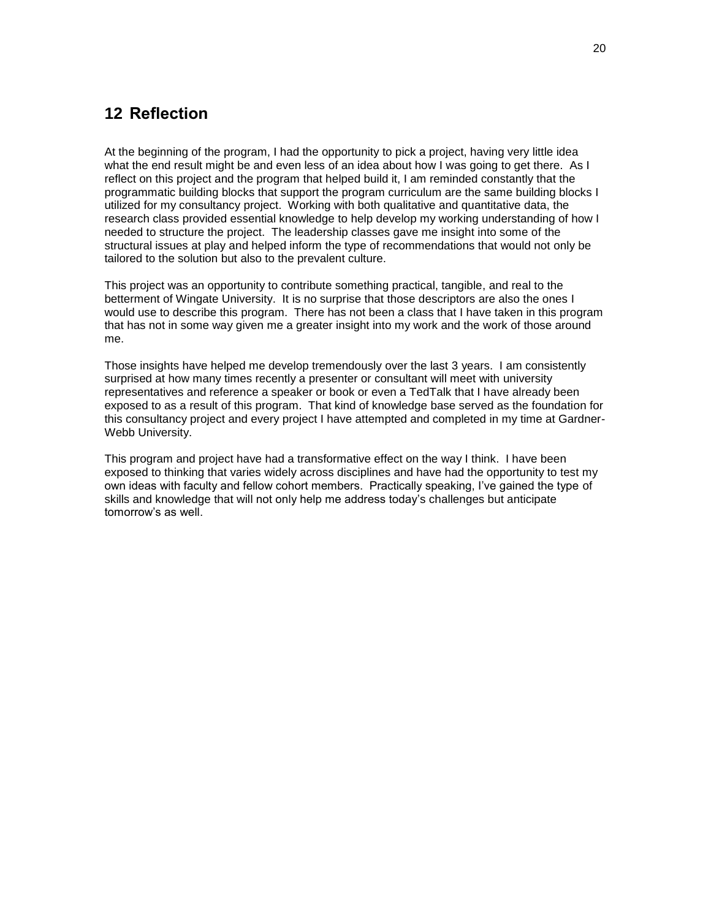### <span id="page-24-0"></span>**12 Reflection**

At the beginning of the program, I had the opportunity to pick a project, having very little idea what the end result might be and even less of an idea about how I was going to get there. As I reflect on this project and the program that helped build it, I am reminded constantly that the programmatic building blocks that support the program curriculum are the same building blocks I utilized for my consultancy project. Working with both qualitative and quantitative data, the research class provided essential knowledge to help develop my working understanding of how I needed to structure the project. The leadership classes gave me insight into some of the structural issues at play and helped inform the type of recommendations that would not only be tailored to the solution but also to the prevalent culture.

This project was an opportunity to contribute something practical, tangible, and real to the betterment of Wingate University. It is no surprise that those descriptors are also the ones I would use to describe this program. There has not been a class that I have taken in this program that has not in some way given me a greater insight into my work and the work of those around me.

Those insights have helped me develop tremendously over the last 3 years. I am consistently surprised at how many times recently a presenter or consultant will meet with university representatives and reference a speaker or book or even a TedTalk that I have already been exposed to as a result of this program. That kind of knowledge base served as the foundation for this consultancy project and every project I have attempted and completed in my time at Gardner-Webb University.

This program and project have had a transformative effect on the way I think. I have been exposed to thinking that varies widely across disciplines and have had the opportunity to test my own ideas with faculty and fellow cohort members. Practically speaking, I've gained the type of skills and knowledge that will not only help me address today's challenges but anticipate tomorrow's as well.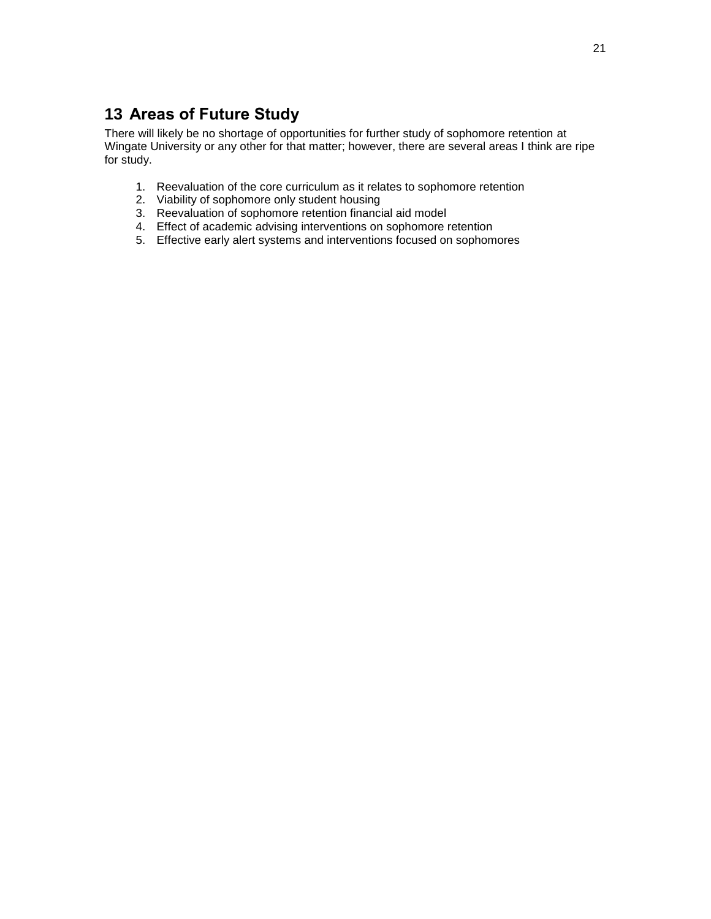# <span id="page-25-0"></span>**13 Areas of Future Study**

There will likely be no shortage of opportunities for further study of sophomore retention at Wingate University or any other for that matter; however, there are several areas I think are ripe for study.

- 1. Reevaluation of the core curriculum as it relates to sophomore retention
- 2. Viability of sophomore only student housing
- 3. Reevaluation of sophomore retention financial aid model
- 4. Effect of academic advising interventions on sophomore retention
- 5. Effective early alert systems and interventions focused on sophomores